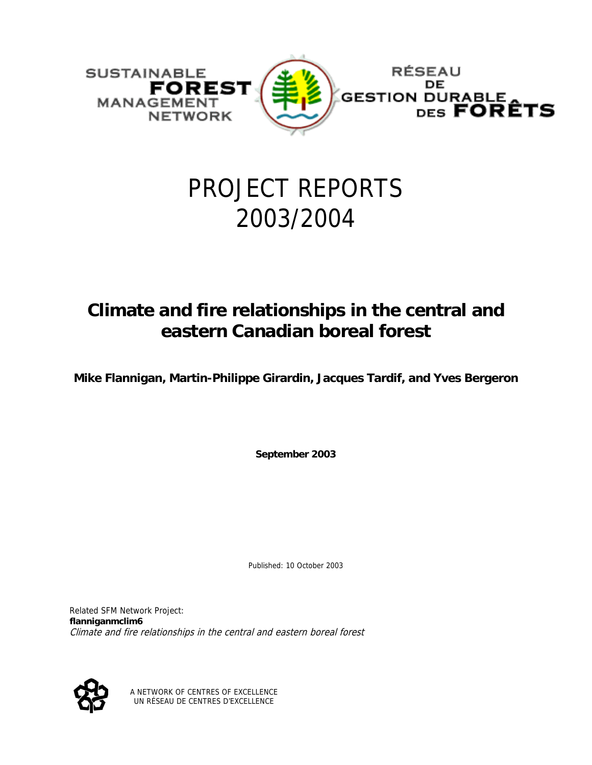

# PROJECT REPORTS 2003/2004

# **Climate and fire relationships in the central and eastern Canadian boreal forest**

**Mike Flannigan, Martin-Philippe Girardin, Jacques Tardif, and Yves Bergeron** 

**September 2003** 

Published: 10 October 2003

Related SFM Network Project: **flanniganmclim6** Climate and fire relationships in the central and eastern boreal forest



A NETWORK OF CENTRES OF EXCELLENCE UN RÉSEAU DE CENTRES D'EXCELLENCE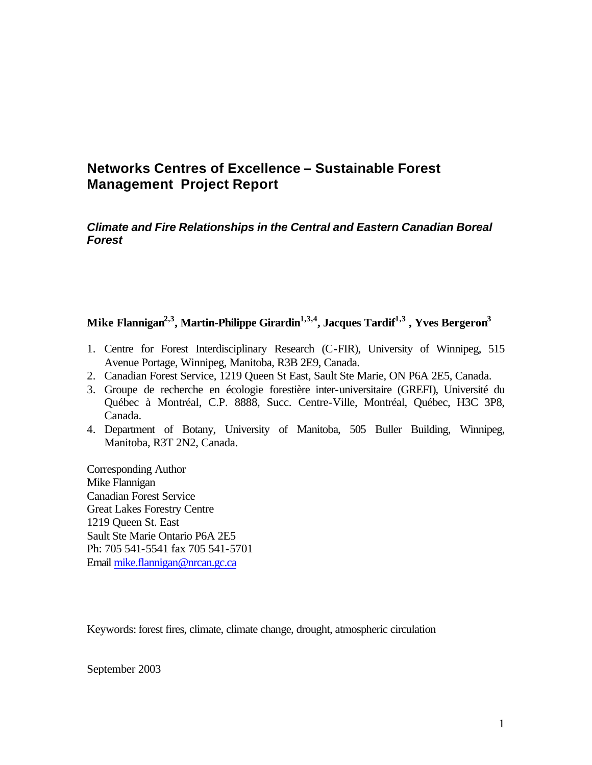# **Networks Centres of Excellence – Sustainable Forest Management Project Report**

*Climate and Fire Relationships in the Central and Eastern Canadian Boreal Forest*

#### **Mike Flannigan2,3 , Martin-Philippe Girardin1,3,4, Jacques Tardif1,3 , Yves Bergeron<sup>3</sup>**

- 1. Centre for Forest Interdisciplinary Research (C-FIR), University of Winnipeg, 515 Avenue Portage, Winnipeg, Manitoba, R3B 2E9, Canada.
- 2. Canadian Forest Service, 1219 Queen St East, Sault Ste Marie, ON P6A 2E5, Canada.
- 3. Groupe de recherche en écologie forestière inter-universitaire (GREFI), Université du Québec à Montréal, C.P. 8888, Succ. Centre-Ville, Montréal, Québec, H3C 3P8, Canada.
- 4. Department of Botany, University of Manitoba, 505 Buller Building, Winnipeg, Manitoba, R3T 2N2, Canada.

Corresponding Author Mike Flannigan Canadian Forest Service Great Lakes Forestry Centre 1219 Queen St. East Sault Ste Marie Ontario P6A 2E5 Ph: 705 541-5541 fax 705 541-5701 Email mike.flannigan@nrcan.gc.ca

Keywords: forest fires, climate, climate change, drought, atmospheric circulation

September 2003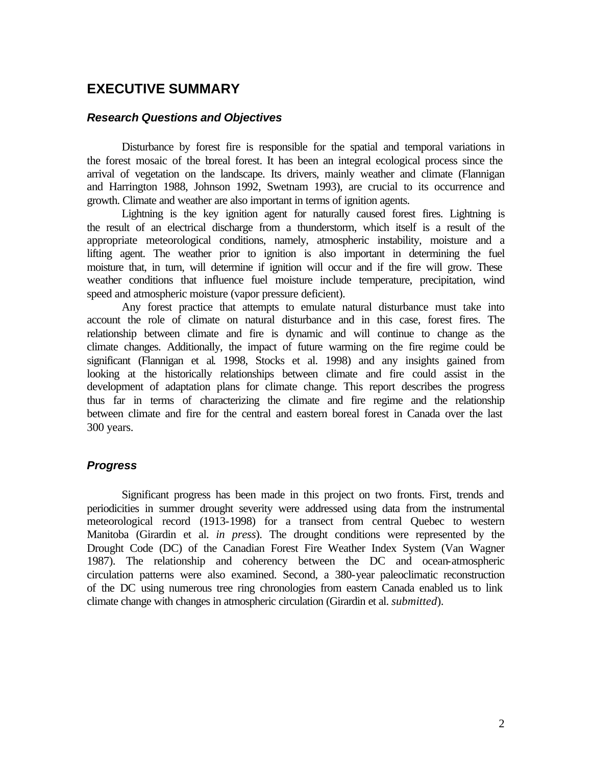## **EXECUTIVE SUMMARY**

#### *Research Questions and Objectives*

Disturbance by forest fire is responsible for the spatial and temporal variations in the forest mosaic of the boreal forest. It has been an integral ecological process since the arrival of vegetation on the landscape. Its drivers, mainly weather and climate (Flannigan and Harrington 1988, Johnson 1992, Swetnam 1993), are crucial to its occurrence and growth. Climate and weather are also important in terms of ignition agents.

Lightning is the key ignition agent for naturally caused forest fires. Lightning is the result of an electrical discharge from a thunderstorm, which itself is a result of the appropriate meteorological conditions, namely, atmospheric instability, moisture and a lifting agent. The weather prior to ignition is also important in determining the fuel moisture that, in turn, will determine if ignition will occur and if the fire will grow. These weather conditions that influence fuel moisture include temperature, precipitation, wind speed and atmospheric moisture (vapor pressure deficient).

Any forest practice that attempts to emulate natural disturbance must take into account the role of climate on natural disturbance and in this case, forest fires. The relationship between climate and fire is dynamic and will continue to change as the climate changes. Additionally, the impact of future warming on the fire regime could be significant (Flannigan et al. 1998, Stocks et al. 1998) and any insights gained from looking at the historically relationships between climate and fire could assist in the development of adaptation plans for climate change. This report describes the progress thus far in terms of characterizing the climate and fire regime and the relationship between climate and fire for the central and eastern boreal forest in Canada over the last 300 years.

#### *Progress*

Significant progress has been made in this project on two fronts. First, trends and periodicities in summer drought severity were addressed using data from the instrumental meteorological record (1913-1998) for a transect from central Quebec to western Manitoba (Girardin et al. *in press*). The drought conditions were represented by the Drought Code (DC) of the Canadian Forest Fire Weather Index System (Van Wagner 1987). The relationship and coherency between the DC and ocean-atmospheric circulation patterns were also examined. Second, a 380-year paleoclimatic reconstruction of the DC using numerous tree ring chronologies from eastern Canada enabled us to link climate change with changes in atmospheric circulation (Girardin et al. *submitted*).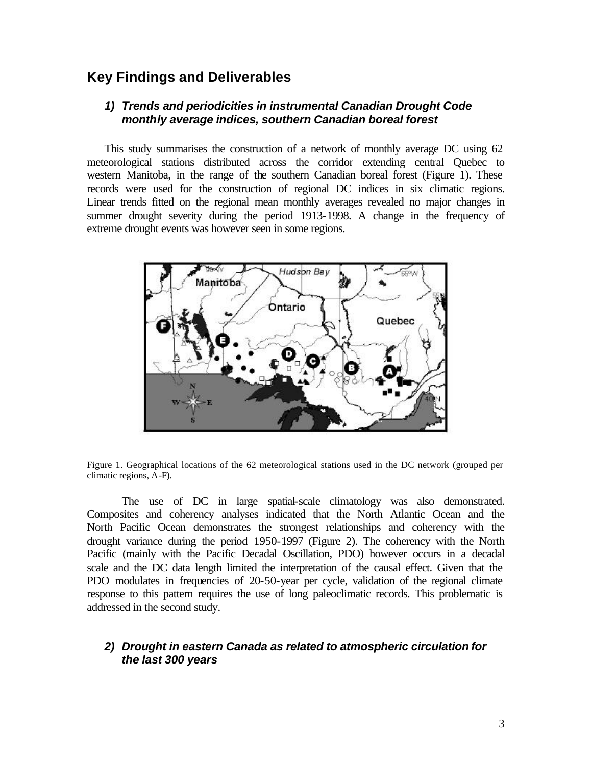### **Key Findings and Deliverables**

#### *1) Trends and periodicities in instrumental Canadian Drought Code monthly average indices, southern Canadian boreal forest*

This study summarises the construction of a network of monthly average DC using 62 meteorological stations distributed across the corridor extending central Quebec to western Manitoba, in the range of the southern Canadian boreal forest (Figure 1). These records were used for the construction of regional DC indices in six climatic regions. Linear trends fitted on the regional mean monthly averages revealed no major changes in summer drought severity during the period 1913-1998. A change in the frequency of extreme drought events was however seen in some regions.



Figure 1. Geographical locations of the 62 meteorological stations used in the DC network (grouped per climatic regions, A-F).

The use of DC in large spatial-scale climatology was also demonstrated. Composites and coherency analyses indicated that the North Atlantic Ocean and the North Pacific Ocean demonstrates the strongest relationships and coherency with the drought variance during the period 1950-1997 (Figure 2). The coherency with the North Pacific (mainly with the Pacific Decadal Oscillation, PDO) however occurs in a decadal scale and the DC data length limited the interpretation of the causal effect. Given that the PDO modulates in frequencies of 20-50-year per cycle, validation of the regional climate response to this pattern requires the use of long paleoclimatic records. This problematic is addressed in the second study.

#### *2) Drought in eastern Canada as related to atmospheric circulation for the last 300 years*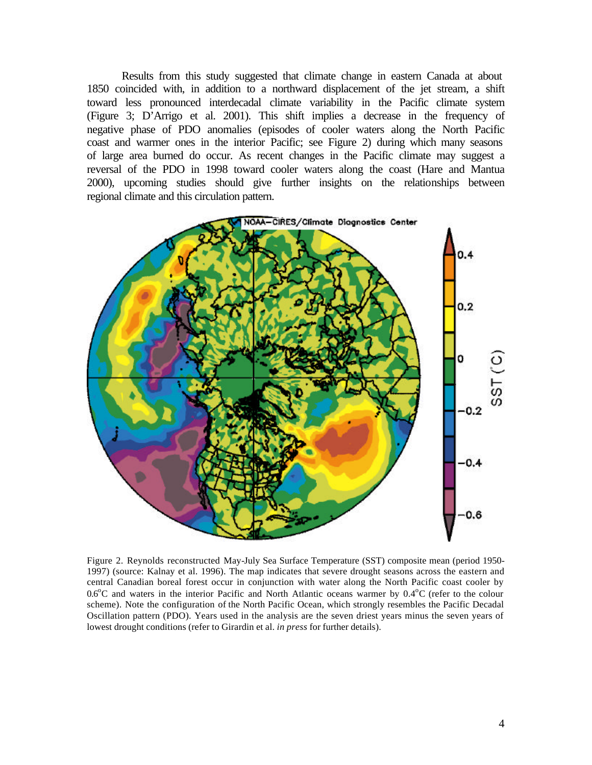Results from this study suggested that climate change in eastern Canada at about 1850 coincided with, in addition to a northward displacement of the jet stream, a shift toward less pronounced interdecadal climate variability in the Pacific climate system (Figure 3; D'Arrigo et al. 2001). This shift implies a decrease in the frequency of negative phase of PDO anomalies (episodes of cooler waters along the North Pacific coast and warmer ones in the interior Pacific; see Figure 2) during which many seasons of large area burned do occur. As recent changes in the Pacific climate may suggest a reversal of the PDO in 1998 toward cooler waters along the coast (Hare and Mantua 2000), upcoming studies should give further insights on the relationships between regional climate and this circulation pattern.



Figure 2. Reynolds reconstructed May-July Sea Surface Temperature (SST) composite mean (period 1950- 1997) (source: Kalnay et al. 1996). The map indicates that severe drought seasons across the eastern and central Canadian boreal forest occur in conjunction with water along the North Pacific coast cooler by  $0.6^{\circ}$ C and waters in the interior Pacific and North Atlantic oceans warmer by  $0.4^{\circ}$ C (refer to the colour scheme). Note the configuration of the North Pacific Ocean, which strongly resembles the Pacific Decadal Oscillation pattern (PDO). Years used in the analysis are the seven driest years minus the seven years of lowest drought conditions (refer to Girardin et al. *in press* for further details).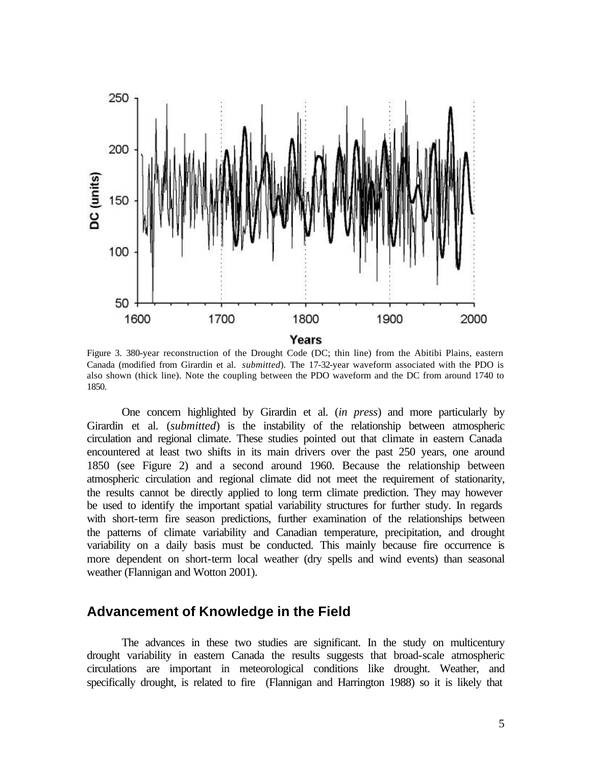

Figure 3. 380-year reconstruction of the Drought Code (DC; thin line) from the Abitibi Plains, eastern Canada (modified from Girardin et al. *submitted*). The 17-32-year waveform associated with the PDO is also shown (thick line). Note the coupling between the PDO waveform and the DC from around 1740 to 1850.

One concern highlighted by Girardin et al. (*in press*) and more particularly by Girardin et al. (*submitted*) is the instability of the relationship between atmospheric circulation and regional climate. These studies pointed out that climate in eastern Canada encountered at least two shifts in its main drivers over the past 250 years, one around 1850 (see Figure 2) and a second around 1960. Because the relationship between atmospheric circulation and regional climate did not meet the requirement of stationarity, the results cannot be directly applied to long term climate prediction. They may however be used to identify the important spatial variability structures for further study. In regards with short-term fire season predictions, further examination of the relationships between the patterns of climate variability and Canadian temperature, precipitation, and drought variability on a daily basis must be conducted. This mainly because fire occurrence is more dependent on short-term local weather (dry spells and wind events) than seasonal weather (Flannigan and Wotton 2001).

#### **Advancement of Knowledge in the Field**

The advances in these two studies are significant. In the study on multicentury drought variability in eastern Canada the results suggests that broad-scale atmospheric circulations are important in meteorological conditions like drought. Weather, and specifically drought, is related to fire (Flannigan and Harrington 1988) so it is likely that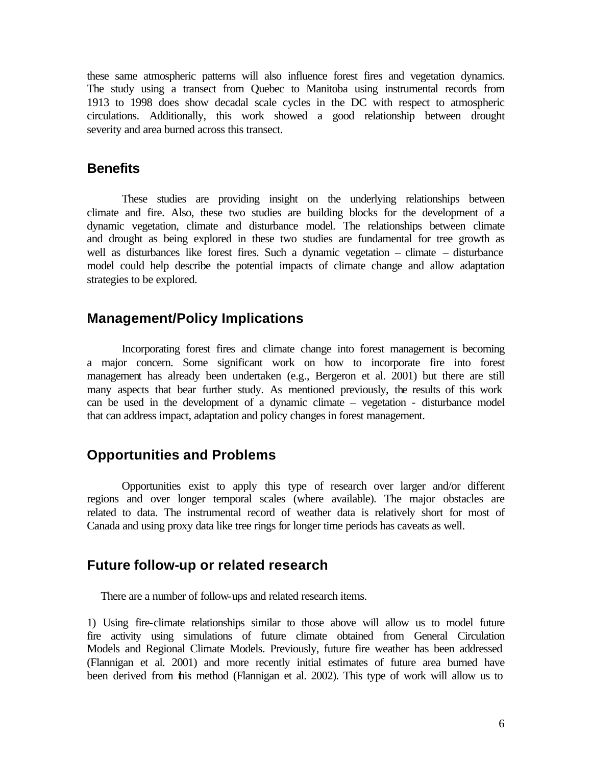these same atmospheric patterns will also influence forest fires and vegetation dynamics. The study using a transect from Quebec to Manitoba using instrumental records from 1913 to 1998 does show decadal scale cycles in the DC with respect to atmospheric circulations. Additionally, this work showed a good relationship between drought severity and area burned across this transect.

#### **Benefits**

These studies are providing insight on the underlying relationships between climate and fire. Also, these two studies are building blocks for the development of a dynamic vegetation, climate and disturbance model. The relationships between climate and drought as being explored in these two studies are fundamental for tree growth as well as disturbances like forest fires. Such a dynamic vegetation – climate – disturbance model could help describe the potential impacts of climate change and allow adaptation strategies to be explored.

# **Management/Policy Implications**

Incorporating forest fires and climate change into forest management is becoming a major concern. Some significant work on how to incorporate fire into forest management has already been undertaken (e.g., Bergeron et al. 2001) but there are still many aspects that bear further study. As mentioned previously, the results of this work can be used in the development of a dynamic climate – vegetation - disturbance model that can address impact, adaptation and policy changes in forest management.

#### **Opportunities and Problems**

Opportunities exist to apply this type of research over larger and/or different regions and over longer temporal scales (where available). The major obstacles are related to data. The instrumental record of weather data is relatively short for most of Canada and using proxy data like tree rings for longer time periods has caveats as well.

#### **Future follow-up or related research**

There are a number of follow-ups and related research items.

1) Using fire-climate relationships similar to those above will allow us to model future fire activity using simulations of future climate obtained from General Circulation Models and Regional Climate Models. Previously, future fire weather has been addressed (Flannigan et al. 2001) and more recently initial estimates of future area burned have been derived from this method (Flannigan et al. 2002). This type of work will allow us to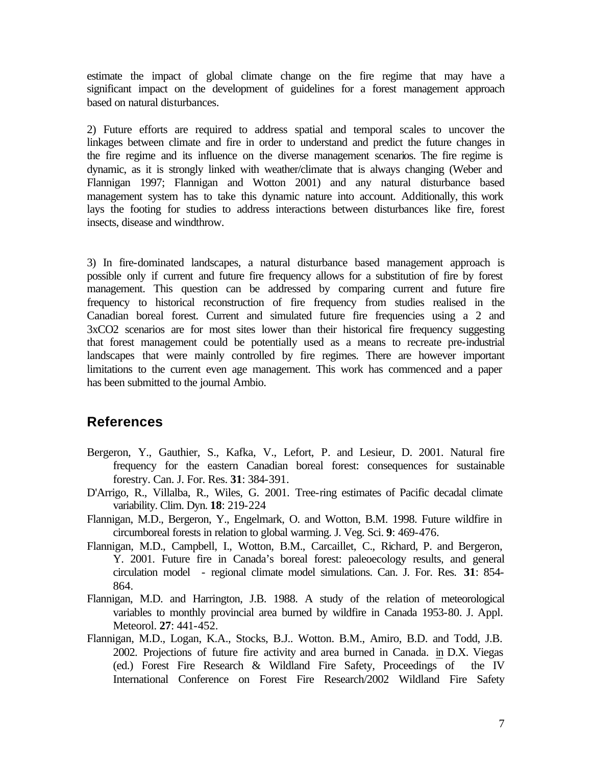estimate the impact of global climate change on the fire regime that may have a significant impact on the development of guidelines for a forest management approach based on natural disturbances.

2) Future efforts are required to address spatial and temporal scales to uncover the linkages between climate and fire in order to understand and predict the future changes in the fire regime and its influence on the diverse management scenarios. The fire regime is dynamic, as it is strongly linked with weather/climate that is always changing (Weber and Flannigan 1997; Flannigan and Wotton 2001) and any natural disturbance based management system has to take this dynamic nature into account. Additionally, this work lays the footing for studies to address interactions between disturbances like fire, forest insects, disease and windthrow.

3) In fire-dominated landscapes, a natural disturbance based management approach is possible only if current and future fire frequency allows for a substitution of fire by forest management. This question can be addressed by comparing current and future fire frequency to historical reconstruction of fire frequency from studies realised in the Canadian boreal forest. Current and simulated future fire frequencies using a 2 and 3xCO2 scenarios are for most sites lower than their historical fire frequency suggesting that forest management could be potentially used as a means to recreate pre-industrial landscapes that were mainly controlled by fire regimes. There are however important limitations to the current even age management. This work has commenced and a paper has been submitted to the journal Ambio.

# **References**

- Bergeron, Y., Gauthier, S., Kafka, V., Lefort, P. and Lesieur, D. 2001. Natural fire frequency for the eastern Canadian boreal forest: consequences for sustainable forestry. Can. J. For. Res. **31**: 384-391.
- D'Arrigo, R., Villalba, R., Wiles, G. 2001. Tree-ring estimates of Pacific decadal climate variability. Clim. Dyn. **18**: 219-224
- Flannigan, M.D., Bergeron, Y., Engelmark, O. and Wotton, B.M. 1998. Future wildfire in circumboreal forests in relation to global warming. J. Veg. Sci. **9**: 469-476.
- Flannigan, M.D., Campbell, I., Wotton, B.M., Carcaillet, C., Richard, P. and Bergeron, Y. 2001. Future fire in Canada's boreal forest: paleoecology results, and general circulation model - regional climate model simulations. Can. J. For. Res. **31**: 854- 864.
- Flannigan, M.D. and Harrington, J.B. 1988. A study of the relation of meteorological variables to monthly provincial area burned by wildfire in Canada 1953-80. J. Appl. Meteorol. **27**: 441-452.
- Flannigan, M.D., Logan, K.A., Stocks, B.J.. Wotton. B.M., Amiro, B.D. and Todd, J.B. 2002. Projections of future fire activity and area burned in Canada. in D.X. Viegas (ed.) Forest Fire Research & Wildland Fire Safety, Proceedings of the IV International Conference on Forest Fire Research/2002 Wildland Fire Safety